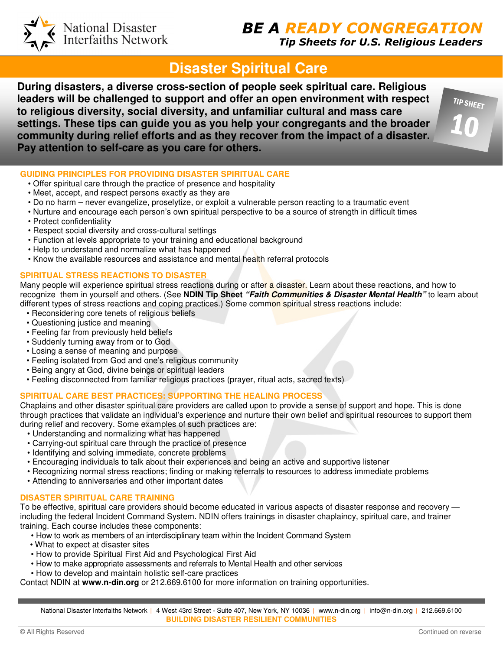# **BE A READY CONGREGATIC**

Tip Sheets for U.S. Religious Leaders

TIP SHEET

10

## **Disaster Spiritual Care**

**During disasters, a diverse cross-section of people seek spiritual care. Religious leaders will be challenged to support and offer an open environment with respect to religious diversity, social diversity, and unfamiliar cultural and mass care settings. These tips can guide you as you help your congregants and the broader community during relief efforts and as they recover from the impact of a disaster. Pay attention to self-care as you care for others.** 

**GUIDING PRINCIPLES FOR PROVIDING DISASTER SPIRITUAL CARE** 

- Offer spiritual care through the practice of presence and hospitality
- Meet, accept, and respect persons exactly as they are
- Do no harm never evangelize, proselytize, or exploit a vulnerable person reacting to a traumatic event
- Nurture and encourage each person's own spiritual perspective to be a source of strength in difficult times
- Protect confidentiality
- Respect social diversity and cross-cultural settings

National Disaster<br>Interfaiths Network

- Function at levels appropriate to your training and educational background
- Help to understand and normalize what has happened
- Know the available resources and assistance and mental health referral protocols

### **SPIRITUAL STRESS REACTIONS TO DISASTER**

Many people will experience spiritual stress reactions during or after a disaster. Learn about these reactions, and how to recognize them in yourself and others. (See **NDIN Tip Sheet "Faith Communities & Disaster Mental Health"** to learn about different types of stress reactions and coping practices.) Some common spiritual stress reactions include:

- Reconsidering core tenets of religious beliefs
- Questioning justice and meaning
- Feeling far from previously held beliefs
- Suddenly turning away from or to God
- Losing a sense of meaning and purpose
- Feeling isolated from God and one's religious community
- Being angry at God, divine beings or spiritual leaders
- Feeling disconnected from familiar religious practices (prayer, ritual acts, sacred texts)

## **SPIRITUAL CARE BEST PRACTICES: SUPPORTING THE HEALING PROCESS**

Chaplains and other disaster spiritual care providers are called upon to provide a sense of support and hope. This is done through practices that validate an individual's experience and nurture their own belief and spiritual resources to support them during relief and recovery. Some examples of such practices are:

- Understanding and normalizing what has happened
- Carrying-out spiritual care through the practice of presence
- Identifying and solving immediate, concrete problems
- Encouraging individuals to talk about their experiences and being an active and supportive listener
- Recognizing normal stress reactions; finding or making referrals to resources to address immediate problems
- Attending to anniversaries and other important dates

## **DISASTER SPIRITUAL CARE TRAINING**

To be effective, spiritual care providers should become educated in various aspects of disaster response and recovery including the federal Incident Command System. NDIN offers trainings in disaster chaplaincy, spiritual care, and trainer training. Each course includes these components:

- How to work as members of an interdisciplinary team within the Incident Command System
- What to expect at disaster sites
- How to provide Spiritual First Aid and Psychological First Aid
- How to make appropriate assessments and referrals to Mental Health and other services
- How to develop and maintain holistic self-care practices

Contact NDIN at **www.n-din.org** or 212.669.6100 for more information on training opportunities.

National Disaster Interfaiths Network | 4 West 43rd Street - Suite 407, New York, NY 10036 | www.n-din.org | info@n-din.org | 212.669.6100 **BUILDING DISASTER RESILIENT COMMUNITIES**